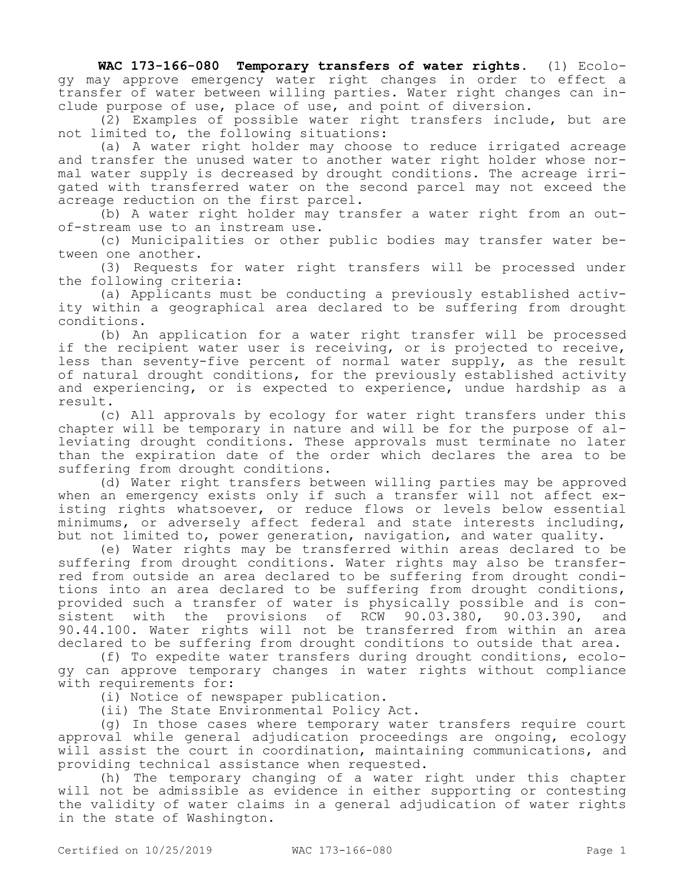**WAC 173-166-080 Temporary transfers of water rights.** (1) Ecology may approve emergency water right changes in order to effect a transfer of water between willing parties. Water right changes can include purpose of use, place of use, and point of diversion.

(2) Examples of possible water right transfers include, but are not limited to, the following situations:

(a) A water right holder may choose to reduce irrigated acreage and transfer the unused water to another water right holder whose normal water supply is decreased by drought conditions. The acreage irrigated with transferred water on the second parcel may not exceed the acreage reduction on the first parcel.

(b) A water right holder may transfer a water right from an outof-stream use to an instream use.

(c) Municipalities or other public bodies may transfer water between one another.

(3) Requests for water right transfers will be processed under the following criteria:

(a) Applicants must be conducting a previously established activity within a geographical area declared to be suffering from drought conditions.

(b) An application for a water right transfer will be processed if the recipient water user is receiving, or is projected to receive, less than seventy-five percent of normal water supply, as the result of natural drought conditions, for the previously established activity and experiencing, or is expected to experience, undue hardship as a result.

(c) All approvals by ecology for water right transfers under this chapter will be temporary in nature and will be for the purpose of alleviating drought conditions. These approvals must terminate no later than the expiration date of the order which declares the area to be suffering from drought conditions.

(d) Water right transfers between willing parties may be approved when an emergency exists only if such a transfer will not affect existing rights whatsoever, or reduce flows or levels below essential minimums, or adversely affect federal and state interests including, but not limited to, power generation, navigation, and water quality.

(e) Water rights may be transferred within areas declared to be suffering from drought conditions. Water rights may also be transferred from outside an area declared to be suffering from drought conditions into an area declared to be suffering from drought conditions, provided such a transfer of water is physically possible and is consistent with the provisions of RCW 90.03.380, 90.03.390, and 90.44.100. Water rights will not be transferred from within an area declared to be suffering from drought conditions to outside that area.

(f) To expedite water transfers during drought conditions, ecology can approve temporary changes in water rights without compliance with requirements for:

(i) Notice of newspaper publication.

(ii) The State Environmental Policy Act.

(g) In those cases where temporary water transfers require court approval while general adjudication proceedings are ongoing, ecology will assist the court in coordination, maintaining communications, and providing technical assistance when requested.

(h) The temporary changing of a water right under this chapter will not be admissible as evidence in either supporting or contesting the validity of water claims in a general adjudication of water rights in the state of Washington.